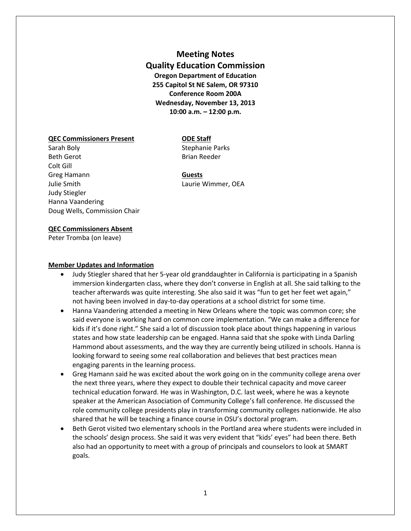# **Meeting Notes Quality Education Commission Oregon Department of Education 255 Capitol St NE Salem, OR 97310 Conference Room 200A Wednesday, November 13, 2013 10:00 a.m. – 12:00 p.m.**

#### **QEC Commissioners Present ODE Staff**

Sarah Boly **Sarah Boly** Stephanie Parks Beth Gerot **Brian Reeder** Colt Gill Greg Hamann **Guests** Julie Smith Laurie Wimmer, OEA Judy Stiegler Hanna Vaandering Doug Wells, Commission Chair

#### **QEC Commissioners Absent**

Peter Tromba (on leave)

#### **Member Updates and Information**

- Judy Stiegler shared that her 5-year old granddaughter in California is participating in a Spanish immersion kindergarten class, where they don't converse in English at all. She said talking to the teacher afterwards was quite interesting. She also said it was "fun to get her feet wet again," not having been involved in day-to-day operations at a school district for some time.
- Hanna Vaandering attended a meeting in New Orleans where the topic was common core; she said everyone is working hard on common core implementation. "We can make a difference for kids if it's done right." She said a lot of discussion took place about things happening in various states and how state leadership can be engaged. Hanna said that she spoke with Linda Darling Hammond about assessments, and the way they are currently being utilized in schools. Hanna is looking forward to seeing some real collaboration and believes that best practices mean engaging parents in the learning process.
- Greg Hamann said he was excited about the work going on in the community college arena over the next three years, where they expect to double their technical capacity and move career technical education forward. He was in Washington, D.C. last week, where he was a keynote speaker at the American Association of Community College's fall conference. He discussed the role community college presidents play in transforming community colleges nationwide. He also shared that he will be teaching a finance course in OSU's doctoral program.
- Beth Gerot visited two elementary schools in the Portland area where students were included in the schools' design process. She said it was very evident that "kids' eyes" had been there. Beth also had an opportunity to meet with a group of principals and counselors to look at SMART goals.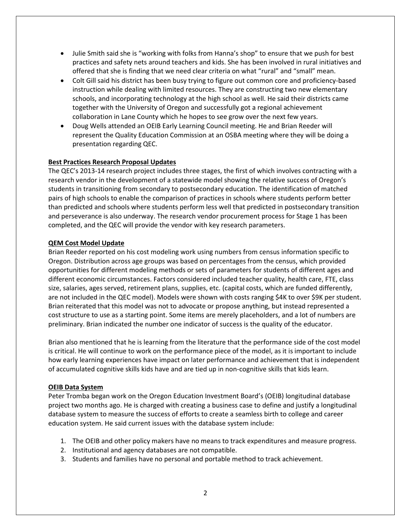- Julie Smith said she is "working with folks from Hanna's shop" to ensure that we push for best practices and safety nets around teachers and kids. She has been involved in rural initiatives and offered that she is finding that we need clear criteria on what "rural" and "small" mean.
- Colt Gill said his district has been busy trying to figure out common core and proficiency-based instruction while dealing with limited resources. They are constructing two new elementary schools, and incorporating technology at the high school as well. He said their districts came together with the University of Oregon and successfully got a regional achievement collaboration in Lane County which he hopes to see grow over the next few years.
- Doug Wells attended an OEIB Early Learning Council meeting. He and Brian Reeder will represent the Quality Education Commission at an OSBA meeting where they will be doing a presentation regarding QEC.

## **Best Practices Research Proposal Updates**

The QEC's 2013-14 research project includes three stages, the first of which involves contracting with a research vendor in the development of a statewide model showing the relative success of Oregon's students in transitioning from secondary to postsecondary education. The identification of matched pairs of high schools to enable the comparison of practices in schools where students perform better than predicted and schools where students perform less well that predicted in postsecondary transition and perseverance is also underway. The research vendor procurement process for Stage 1 has been completed, and the QEC will provide the vendor with key research parameters.

## **QEM Cost Model Update**

Brian Reeder reported on his cost modeling work using numbers from census information specific to Oregon. Distribution across age groups was based on percentages from the census, which provided opportunities for different modeling methods or sets of parameters for students of different ages and different economic circumstances. Factors considered included teacher quality, health care, FTE, class size, salaries, ages served, retirement plans, supplies, etc. (capital costs, which are funded differently, are not included in the QEC model). Models were shown with costs ranging \$4K to over \$9K per student. Brian reiterated that this model was not to advocate or propose anything, but instead represented a cost structure to use as a starting point. Some items are merely placeholders, and a lot of numbers are preliminary. Brian indicated the number one indicator of success is the quality of the educator.

Brian also mentioned that he is learning from the literature that the performance side of the cost model is critical. He will continue to work on the performance piece of the model, as it is important to include how early learning experiences have impact on later performance and achievement that is independent of accumulated cognitive skills kids have and are tied up in non-cognitive skills that kids learn.

## **OEIB Data System**

Peter Tromba began work on the Oregon Education Investment Board's (OEIB) longitudinal database project two months ago. He is charged with creating a business case to define and justify a longitudinal database system to measure the success of efforts to create a seamless birth to college and career education system. He said current issues with the database system include:

- 1. The OEIB and other policy makers have no means to track expenditures and measure progress.
- 2. Institutional and agency databases are not compatible.
- 3. Students and families have no personal and portable method to track achievement.